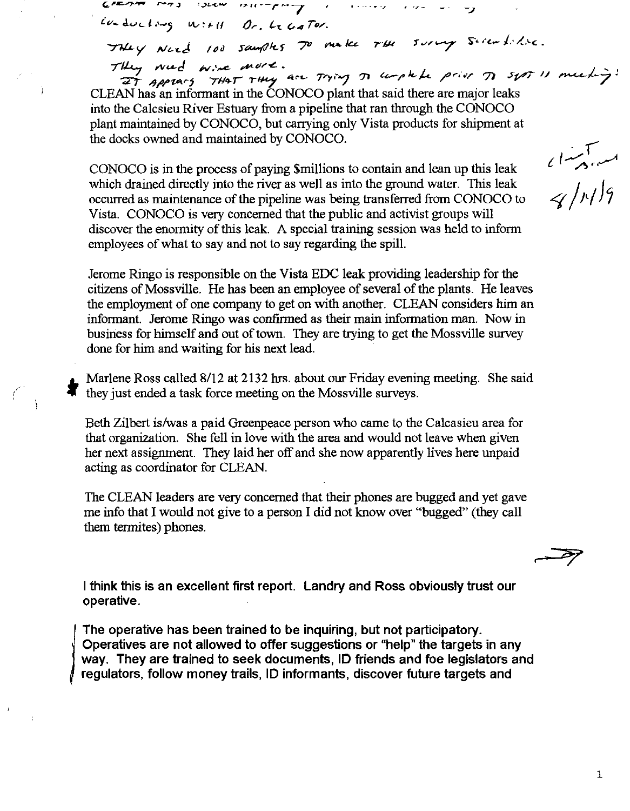$104 \text{d}$ 

 $\mathcal{L}$  is the value of  $\mathcal{L}$ 

They Need 100 samples 70 make the survey Seremblise. They weed wine more.<br>They weed wine more.<br>It sppears THAT THey are Trying on umple prior of syst 11 meeting:

 $\mathcal{L}_{\mathcal{A}}$ 

.. --....

CLEAN has an informant in the CONOCO plant that said there are major leaks into the Calcsieu River Estuary from a pipeline that ran through the CONOCO plant maintained by CONOCO, but carrying only Vista products for shipment at the docks owned and maintained by CONOCO.

CONOCO is in the process of paying \$millions to contain and lean up this leak which drained directly into the river as well as into the ground water. This leak occurred as maintenance of the pipeline was being transferred from CONOCO to Vista. CONOCO is very concerned that the public and activist groups will discover the enormity of this leak. A special training session was held to inform employees of what to say and not to say regarding the spill.

Jerome Ringo is responsible on the Vista EDC leak providing leadership for the citizens of Mossville. He has been an employee of several of the plants. He leaves the employment of one company to get on with another. CLEAN considers him an informant. Jerome Ringo was confirmed as their main information man. Now in business for himself and out of town. They are trying to get the Mossville survey done for him and waiting for his next lead.

Marlene Ross called 8/12 at 2132 hrs. about our Friday evening meeting. She said they just ended a task force meeting on the Mossville surveys.

Beth Zilbert is/was a paid Greenpeace person who came to the Calcasieu area for that organization. She fell in love with the area and would not leave when given her next assignment. They laid her off and she now apparently lives here unpaid acting as coordinator for CLEAN.

The CLEAN leaders are very concerned that their phones are bugged and yet gave me info that I would not give to a person I did not know over "bugged" (they call them termites) phones.

I think this is an excellent first report. Landry and Ross obviously trust our operative.

The operative has been trained to be inquiring, but not participatory. Operatives are not allowed to offer suggestions or "help" the targets in any way. They are trained to seek documents, 10 friends and foe legislators and regulators, follow money trails, ID informants, discover future targets and

)

مسیحیہ<br>حراب<sup>ر</sup> ہے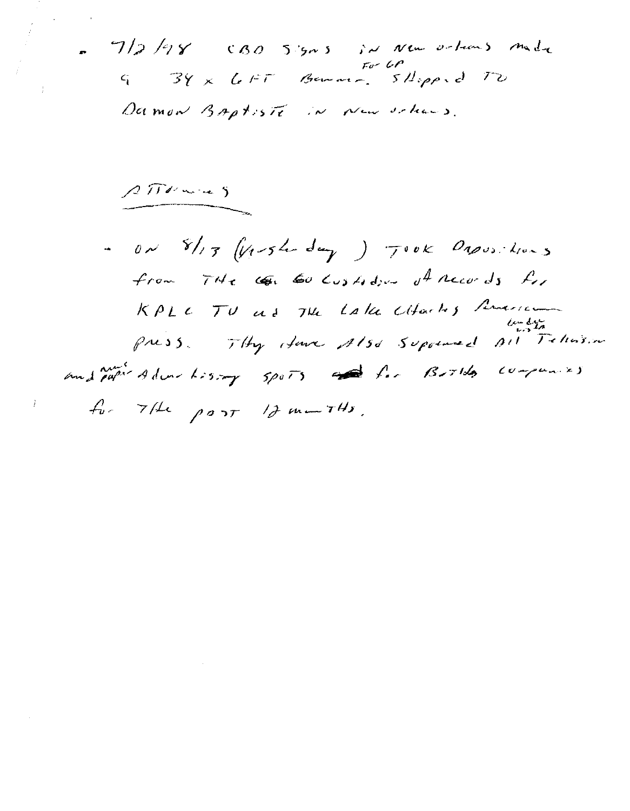. 7/2/98 CBO 5:505 in New orleans made 9 34 x Lett Benner, 5Hopped TO Damon Baptiste in New orleans.

 $2\pi v$ 

- on  $8/13$  (Vershoday) Took Dapositions from  $74e$   $60$   $\omega_3$  to  $\omega_1$  theory  $J_1$ KPLC TU as The Lake Citachy American and paper Adventurary 5ports and for Books companies  $f_v$  7/ port 1} marths.